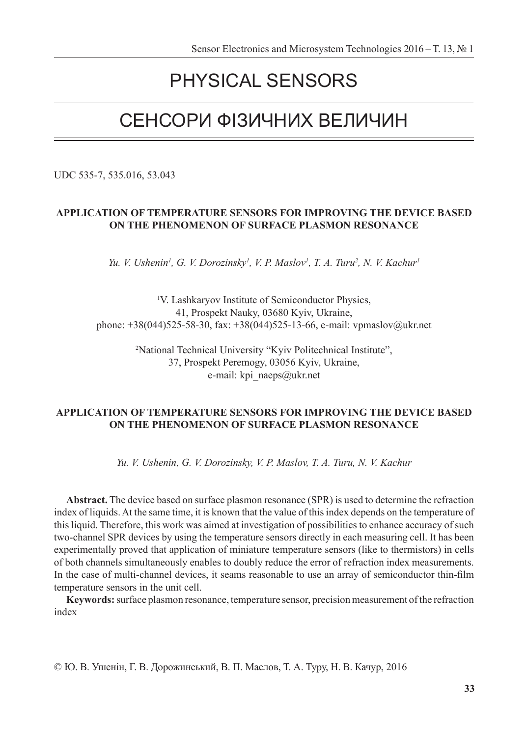# PHYSICAL SENSORS

# СЕНСОРИ ФІЗИЧНИХ ВЕЛИЧИН

UDC 535-7, 535.016, 53.043

# **APPLICATION OF TEMPERATURE SENSORS FOR IMPROVING THE DEVICE BASED ON THE PHENOMENON OF SURFACE PLASMON RESONANCE**

*Yu. V. Ushenin<sup>1</sup>, G. V. Dorozinsky<sup>1</sup>, V. P. Maslov<sup>1</sup>, T. A. Turu<sup>2</sup>, N. V. Kachur<sup>1</sup>* 

1 V. Lashkaryov Institute of Semiconductor Physics, 41, Prospekt Nauky, 03680 Kyiv, Ukraine, phone: +38(044)525-58-30, fax: +38(044)525-13-66, e-mail: vpmaslov@ukr.net

> 2 National Technical University "Kyiv Politechnical Institute", 37, Prospekt Peremogy, 03056 Kyiv, Ukraine, e-mail: kpi\_naeps@ukr.net

# **APPLICATION OF TEMPERATURE SENSORS FOR IMPROVING THE DEVICE BASED ON THE PHENOMENON OF SURFACE PLASMON RESONANCE**

*Yu. V. Ushenin, G. V. Dorozinsky, V. P. Maslov, T. A. Turu, N. V. Kachur*

**Abstract.** The device based on surface plasmon resonance (SPR) is used to determine the refraction index of liquids. At the same time, it is known that the value of this index depends on the temperature of this liquid. Therefore, this work was aimed at investigation of possibilities to enhance accuracy of such two-channel SPR devices by using the temperature sensors directly in each measuring cell. It has been experimentally proved that application of miniature temperature sensors (like to thermistors) in cells of both channels simultaneously enables to doubly reduce the error of refraction index measurements. In the case of multi-channel devices, it seams reasonable to use an array of semiconductor thin-film temperature sensors in the unit cell.

**Keywords:** surface plasmon resonance, temperature sensor, precision measurement of the refraction index

© Ю. В. Ушенін, Г. В. Дорожинський, В. П. Маслов, Т. А. Туру, Н. В. Качур, 2016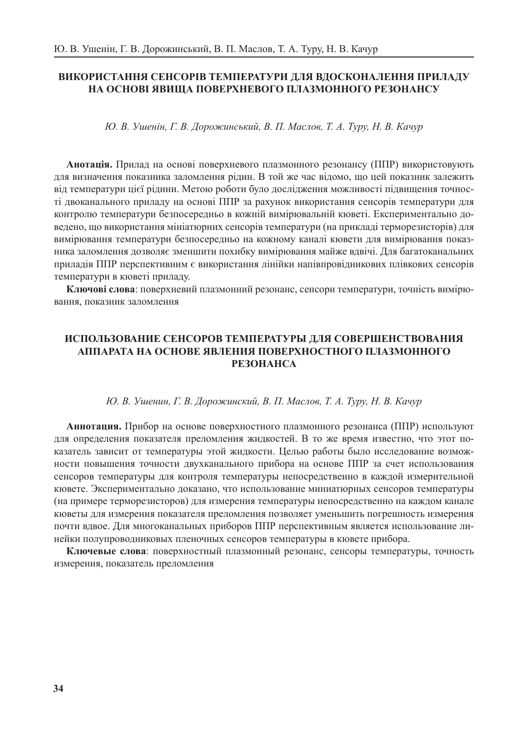# **ВИКОРИСТАННЯ СЕНСОРІВ ТЕМПЕРАТУРИ ДЛЯ ВДОСКОНАЛЕННЯ ПРИЛАДУ НА ОСНОВІ ЯВИЩА ПОВЕРХНЕВОГО ПЛАЗМОННОГО РЕЗОНАНСУ**

*Ю. В. Ушенін, Г. В. Дорожинський, В. П. Маслов, Т. А. Туру, Н. В. Качур*

**Анотація.** Прилад на основі поверхневого плазмонного резонансу (ППР) використовують для визначення показника заломлення рідин. В той же час відомо, що цей показник залежить від температури цієї рідини. Метою роботи було дослідження можливості підвищення точності двоканального приладу на основі ППР за рахунок використання сенсорів температури для контролю температури безпосередньо в кожній вимірювальній кюветі. Експериментально доведено, що використання мініатюрних сенсорів температури (на прикладі терморезисторів) для вимірювання температури безпосередньо на кожному каналі кювети для вимірювання показника заломлення дозволяє зменшити похибку вимірювання майже вдвічі. Для багатоканальних приладів ППР перспективним є використання лінійки напівпровідникових плівкових сенсорів температури в кюветі приладу.

**Ключові слова**: поверхневий плазмонний резонанс, сенсори температури, точність вимірювання, показник заломлення

# **ИСПОЛЬЗОВАНИЕ СЕНСОРОВ ТЕМПЕРАТУРЫ ДЛЯ СОВЕРШЕНСТВОВАНИЯ АППАРАТА НА ОСНОВЕ ЯВЛЕНИЯ ПОВЕРХНОСТНОГО ПЛАЗМОННОГО РЕЗОНАНСА**

## *Ю. В. Ушенин, Г. В. Дорожинский, В. П. Маслов, Т. А. Туру, Н. В. Качур*

**Аннотация.** Прибор на основе поверхностного плазмонного резонанса (ППР) используют для определения показателя преломления жидкостей. В то же время известно, что этот показатель зависит от температуры этой жидкости. Целью работы было исследование возможности повышения точности двухканального прибора на основе ППР за счет использования сенсоров температуры для контроля температуры непосредственно в каждой измерительной кювете. Экспериментально доказано, что использование миниатюрных сенсоров температуры (на примере терморезисторов) для измерения температуры непосредственно на каждом канале кюветы для измерения показателя преломления позволяет уменьшить погрешность измерения почти вдвое. Для многоканальных приборов ППР перспективным является использование линейки полупроводниковых пленочных сенсоров температуры в кювете прибора.

**Ключевые слова**: поверхностный плазмонный резонанс, сенсоры температуры, точность измерения, показатель преломления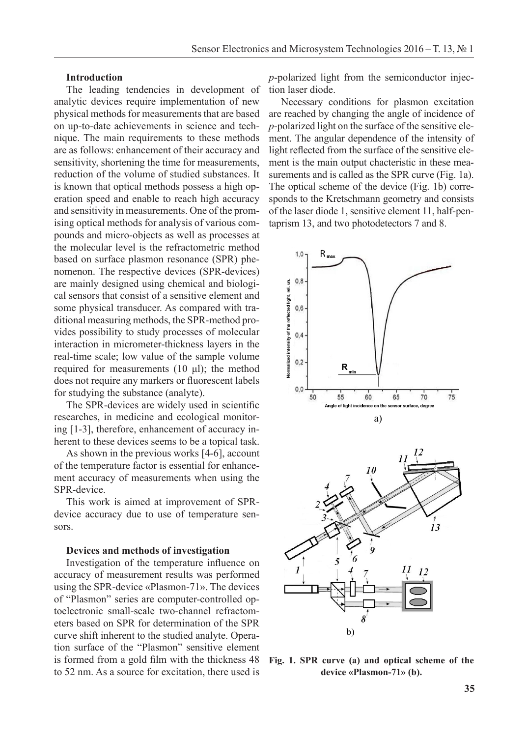## **Introduction**

The leading tendencies in development of analytic devices require implementation of new physical methods for measurements that are based on up-to-date achievements in science and technique. The main requirements to these methods are as follows: enhancement of their accuracy and sensitivity, shortening the time for measurements, reduction of the volume of studied substances. It is known that optical methods possess a high operation speed and enable to reach high accuracy and sensitivity in measurements. One of the promising optical methods for analysis of various compounds and micro-objects as well as processes at the molecular level is the refractometric method based on surface plasmon resonance (SPR) phenomenon. The respective devices (SPR-devices) are mainly designed using chemical and biological sensors that consist of a sensitive element and some physical transducer. As compared with traditional measuring methods, the SPR-method provides possibility to study processes of molecular interaction in micrometer-thickness layers in the real-time scale; low value of the sample volume required for measurements (10 μl); the method does not require any markers or fluorescent labels for studying the substance (analyte).

The SPR-devices are widely used in scientific researches, in medicine and ecological monitoring [1-3], therefore, enhancement of accuracy inherent to these devices seems to be a topical task.

As shown in the previous works [4-6], account of the temperature factor is essential for enhancement accuracy of measurements when using the SPR-device.

This work is aimed at improvement of SPRdevice accuracy due to use of temperature sensors.

#### **Devices and methods of investigation**

Investigation of the temperature influence on accuracy of measurement results was performed using the SPR-device «Plasmon-71». The devices of "Plasmon" series are computer-controlled optoelectronic small-scale two-channel refractometers based on SPR for determination of the SPR curve shift inherent to the studied analyte. Operation surface of the "Plasmon" sensitive element is formed from a gold film with the thickness 48 to 52 nm. As a source for excitation, there used is film with the thickness 48 Fig. 1. SPR curve (a) and optical scheme of the

*p*-polarized light from the semiconductor injection laser diode.

Necessary conditions for plasmon excitation are reached by changing the angle of incidence of *p*-polarized light on the surface of the sensitive element. The angular dependence of the intensity of light reflected from the surface of the sensitive element is the main output chacteristic in these measurements and is called as the SPR curve (Fig. 1a). The optical scheme of the device (Fig. 1b) corresponds to the Kretschmann geometry and consists of the laser diode 1, sensitive element 11, half-pentaprism 13, and two photodetectors 7 and 8.



device «Plasmon-71» (b).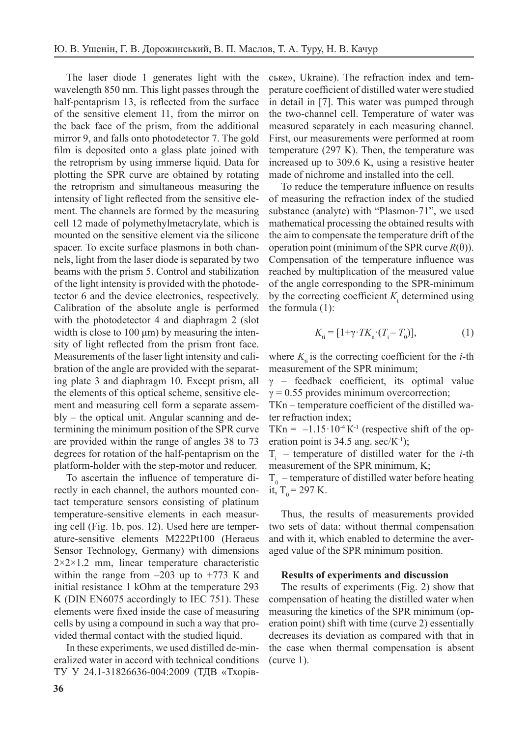The laser diode 1 generates light with the wavelength 850 nm. This light passes through the half-pentaprism 13, is reflected from the surface of the sensitive element 11, from the mirror on the back face of the prism, from the additional mirror 9, and falls onto photodetector 7. The gold film is deposited onto a glass plate joined with the retroprism by using immerse liquid. Data for plotting the SPR curve are obtained by rotating the retroprism and simultaneous measuring the intensity of light reflected from the sensitive element. The channels are formed by the measuring cell 12 made of polymethylmetacrylate, which is mounted on the sensitive element via the silicone spacer. To excite surface plasmons in both channels, light from the laser diode is separated by two beams with the prism 5. Control and stabilization of the light intensity is provided with the photodetector 6 and the device electronics, respectively. Calibration of the absolute angle is performed with the photodetector 4 and diaphragm 2 (slot width is close to 100  $\mu$ m) by measuring the intensity of light reflected from the prism front face. Measurements of the laser light intensity and calibration of the angle are provided with the separating plate 3 and diaphragm 10. Except prism, all the elements of this optical scheme, sensitive element and measuring cell form a separate assembly – the optical unit. Angular scanning and determining the minimum position of the SPR curve are provided within the range of angles 38 to 73 degrees for rotation of the half-pentaprism on the platform-holder with the step-motor and reducer.

To ascertain the influence of temperature directly in each channel, the authors mounted contact temperature sensors consisting of platinum temperature-sensitive elements in each measuring cell (Fig. 1b, pos. 12). Used here are temperature-sensitive elements M222Pt100 (Heraeus Sensor Technology, Germany) with dimensions  $2 \times 2 \times 1.2$  mm, linear temperature characteristic within the range from  $-203$  up to  $+773$  K and initial resistance 1 kOhm at the temperature 293 K (DIN EN6075 accordingly to IEC 751). These elements were fixed inside the case of measuring cells by using a compound in such a way that provided thermal contact with the studied liquid.

In these experiments, we used distilled de-mineralized water in accord with technical conditions ТУ У 24.1-31826636-004:2009 (ТДВ «Тхорівське», Ukraine). The refraction index and temperature coefficient of distilled water were studied in detail in [7]. This water was pumped through the two-channel cell. Temperature of water was measured separately in each measuring channel. First, our measurements were performed at room temperature (297 K). Then, the temperature was increased up to 309.6 K, using a resistive heater made of nichrome and installed into the cell.

To reduce the temperature influence on results of measuring the refraction index of the studied substance (analyte) with "Plasmon-71", we used mathematical processing the obtained results with the aim to compensate the temperature drift of the operation point (minimum of the SPR curve *R*(θ)). Compensation of the temperature influence was reached by multiplication of the measured value of the angle corresponding to the SPR-minimum by the correcting coefficient  $K_t$  determined using the formula (1):

$$
K_{\mathbf{t}} = [1 + \gamma \cdot TK_{\mathbf{n}} \cdot (T_{\mathbf{i}} - T_0)],\tag{1}
$$

where  $K_{\text{t}}$  is the correcting coefficient for the *i*-th measurement of the SPR minimum;

γ – feedback coefficient, its optimal value  $\gamma$  = 0.55 provides minimum overcorrection;

ТКn – temperature coefficient of the distilled water refraction index;

TKn =  $-1.15 \cdot 10^{-4}$  K<sup>-1</sup> (respective shift of the operation point is  $34.5$  ang. sec/K<sup>-1</sup>);

 $T_i$  – temperature of distilled water for the *i*-th measurement of the SPR minimum, K;

 $T<sub>0</sub>$  – temperature of distilled water before heating it,  $T_0 = 297$  K.

Thus, the results of measurements provided two sets of data: without thermal compensation and with it, which enabled to determine the averaged value of the SPR minimum position.

#### **Results of experiments and discussion**

The results of experiments (Fig. 2) show that compensation of heating the distilled water when measuring the kinetics of the SPR minimum (operation point) shift with time (curve 2) essentially decreases its deviation as compared with that in the case when thermal compensation is absent (curve 1).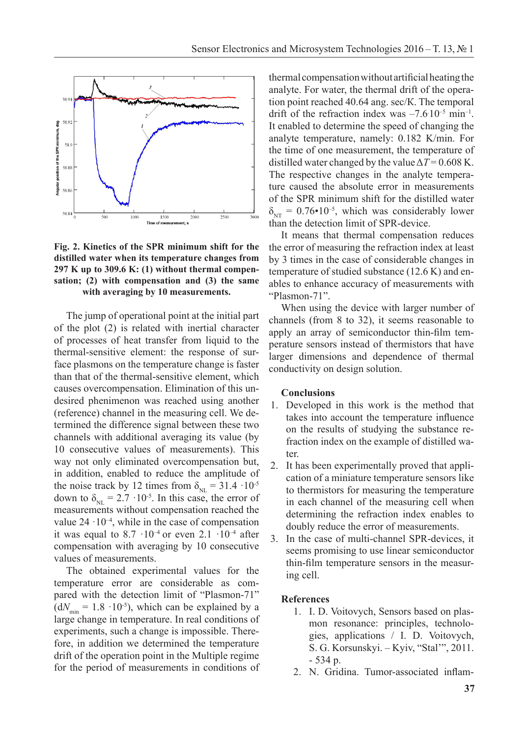

**Fig. 2. Kinetics of the SPR minimum shift for the** distilled water when its temperature changes from 297 K up to 309.6 K: (1) without thermal compensation;  $(2)$  with compensation and  $(3)$  the same with averaging by 10 measurements.

The jump of operational point at the initial part of the plot  $(2)$  is related with inertial character of processes of heat transfer from liquid to the thermal-sensitive element: the response of surface plasmons on the temperature change is faster than that of the thermal-sensitive element, which causes overcompensation. Elimination of this undesired phenimenon was reached using another (reference) channel in the measuring cell. We determined the difference signal between these two channels with additional averaging its value (by 10 consecutive values of measurements). This way not only eliminated overcompensation but, in addition, enabled to reduce the amplitude of the noise track by 12 times from  $\delta_{NL} = 31.4 \cdot 10^{-5}$ down to  $\delta_{NL} = 2.7 \cdot 10^{-5}$ . In this case, the error of measurements without compensation reached the value  $24 \cdot 10^{-4}$ , while in the case of compensation it was equal to  $8.7 \cdot 10^{-4}$  or even  $2.1 \cdot 10^{-4}$  after compensation with averaging by 10 consecutive values of measurements. signal between these two channels with additional averaging its value (by 10 consecutive values

The obtained experimental values for the temperature error are considerable as compared with the detection limit of "Plasmon-71"  $(dN<sub>min</sub> = 1.8 \cdot 10^{-5})$ , which can be explained by a large change in temperature. In real conditions of experiments, such a change is impossible. Therefore, in addition we determined the temperature drift of the operation point in the Multiple regime for the period of measurements in conditions of thermal compensation without artificial heating the analyte. For water, the thermal drift of the operation point reached 40.64 ang. sec/К. The temporal drift of the refraction index was  $-7.610^{-5}$  min<sup>-1</sup>. It enabled to determine the speed of changing the analyte temperature, namely: 0.182 K/min. For the time of one measurement, the temperature of distilled water changed by the value  $\Delta T = 0.608$  K. The respective changes in the analyte temperature caused the absolute error in measurements of the SPR minimum shift for the distilled water  $\delta_{NT}$  = 0.76•10<sup>-5</sup>, which was considerably lower than the detection limit of SPR-device.

It means that thermal compensation reduces the error of measuring the refraction index at least by 3 times in the case of considerable changes in temperature of studied substance (12.6 K) and enables to enhance accuracy of measurements with "Plasmon-71".

When using the device with larger number of channels (from 8 to 32), it seems reasonable to apply an array of semiconductor thin-film temperature sensors instead of thermistors that have larger dimensions and dependence of thermal conductivity on design solution.

#### **Conclusions**

- 1. Developed in this work is the method that takes into account the temperature influence on the results of studying the substance refraction index on the example of distilled water.
- 2. It has been experimentally proved that application of a miniature temperature sensors like to thermistors for measuring the temperature in each channel of the measuring cell when determining the refraction index enables to doubly reduce the error of measurements.
- 3. In the case of multi-channel SPR-devices, it seems promising to use linear semiconductor thin-film temperature sensors in the measuring cell.

#### **References**

- 1. I. D. Voitovych, Sensors based on plasmon resonance: principles, technologies, applications / I. D. Voitovych, S. G. Korsunskyi. – Kyiv, "Stal'", 2011. - 534 p.
- 2. N. Gridina. Tumor-associated inflam-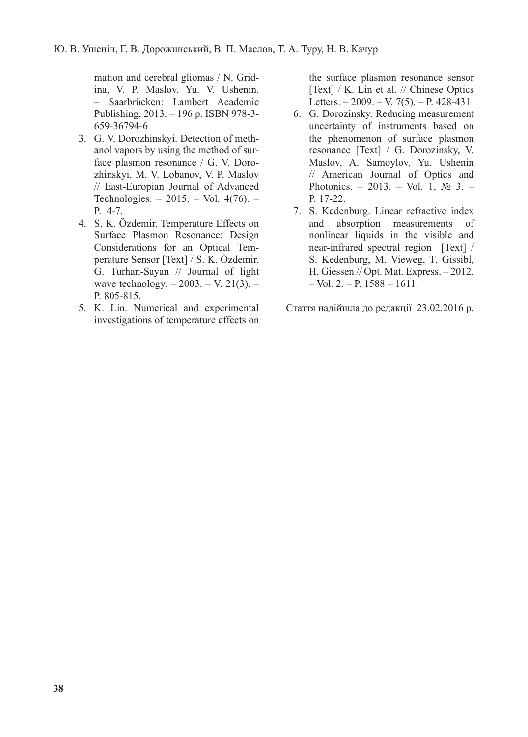mation and cerebral gliomas / N. Gridina, V. P. Maslov, Yu. V. Ushenin. – Saarbrücken: Lambert Academic Publishing, 2013. – 196 p. ISBN 978-3- 659-36794-6

- 3. G. V. Dorozhinskyi. Detection of methanol vapors by using the method of surface plasmon resonance / G. V. Dorozhinskyi, M. V. Lobanov, V. P. Maslov // East-Europian Journal of Advanced Technologies. – 2015. – Vol. 4(76). – P. 4-7.
- 4. S. K. Özdemir. Temperature Effects on Surface Plasmon Resonance: Design Considerations for an Optical Temperature Sensor [Text] / S. K. Özdemir, G. Turhan-Sayan // Journal of light wave technology. – 2003. – V. 21(3). – P. 805-815.
- 5. K. Lin. Numerical and experimental investigations of temperature effects on

the surface plasmon resonance sensor [Text] / K. Lin et al. // Chinese Optics Letters.  $-2009. - V. 7(5)$ .  $- P. 428-431$ .

- 6. G. Dorozinsky. Reducing measurement uncertainty of instruments based on the phenomenon of surface plasmon resonance [Text] / G. Dorozinsky, V. Maslov, A. Samoylov, Yu. Ushenin // American Journal of Optics and Photonics. – 2013. – Vol. 1,  $\mathbb{N}^{\circ}$  3. – P. 17-22.
- 7. S. Kedenburg. Linear refractive index and absorption measurements of nonlinear liquids in the visible and near-infrared spectral region [Text] / S. Kedenburg, M. Vieweg, T. Gissibl, H. Giessen // Opt. Mat. Express. – 2012.  $-$  Vol. 2.  $-$  P. 1588  $-$  1611.

Стаття надійшла до редакції 23.02.2016 р.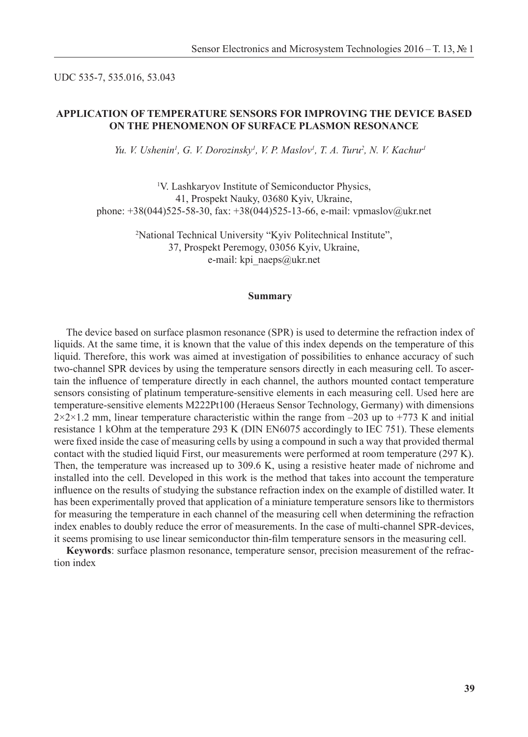## UDC 535-7, 535.016, 53.043

## **APPLICATION OF TEMPERATURE SENSORS FOR IMPROVING THE DEVICE BASED ON THE PHENOMENON OF SURFACE PLASMON RESONANCE**

*Yu. V. Ushenin<sup>1</sup>, G. V. Dorozinsky<sup>1</sup>, V. P. Maslov<sup>1</sup>, T. A. Turu<sup>2</sup>, N. V. Kachur<sup>1</sup>* 

<sup>1</sup>V. Lashkaryov Institute of Semiconductor Physics, 41, Prospekt Nauky, 03680 Kyiv, Ukraine, phone: +38(044)525-58-30, fax: +38(044)525-13-66, e-mail: vpmaslov@ukr.net

> 2 National Technical University "Kyiv Politechnical Institute", 37, Prospekt Peremogy, 03056 Kyiv, Ukraine, e-mail: kpi\_naeps@ukr.net

#### **Summary**

The device based on surface plasmon resonance (SPR) is used to determine the refraction index of liquids. At the same time, it is known that the value of this index depends on the temperature of this liquid. Therefore, this work was aimed at investigation of possibilities to enhance accuracy of such two-channel SPR devices by using the temperature sensors directly in each measuring cell. To ascertain the influence of temperature directly in each channel, the authors mounted contact temperature sensors consisting of platinum temperature-sensitive elements in each measuring cell. Used here are temperature-sensitive elements M222Pt100 (Heraeus Sensor Technology, Germany) with dimensions  $2\times2\times1.2$  mm, linear temperature characteristic within the range from  $-203$  up to  $+773$  K and initial resistance 1 kOhm at the temperature 293 K (DIN EN6075 accordingly to IEC 751). These elements were fixed inside the case of measuring cells by using a compound in such a way that provided thermal contact with the studied liquid First, our measurements were performed at room temperature (297 K). Then, the temperature was increased up to 309.6 K, using a resistive heater made of nichrome and installed into the cell. Developed in this work is the method that takes into account the temperature influence on the results of studying the substance refraction index on the example of distilled water. It has been experimentally proved that application of a miniature temperature sensors like to thermistors for measuring the temperature in each channel of the measuring cell when determining the refraction index enables to doubly reduce the error of measurements. In the case of multi-channel SPR-devices, it seems promising to use linear semiconductor thin-film temperature sensors in the measuring cell.

**Keywords**: surface plasmon resonance, temperature sensor, precision measurement of the refraction index